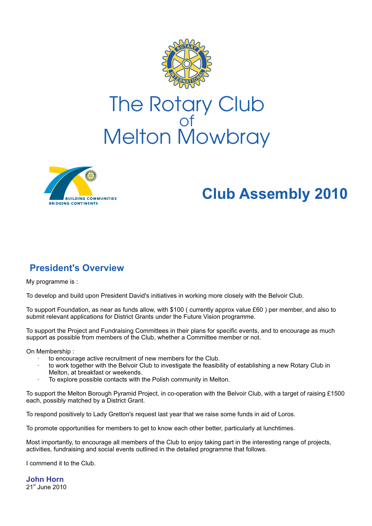

# of Melton Mowbray



# **Club Assembly 2010**

# **President's Overview**

My programme is :

To develop and build upon President David's initiatives in working more closely with the Belvoir Club.

To support Foundation, as near as funds allow, with \$100 ( currently approx value £60 ) per member, and also to submit relevant applications for District Grants under the Future Vision programme.

To support the Project and Fundraising Committees in their plans for specific events, and to encourage as much support as possible from members of the Club, whether a Committee member or not.

On Membership :

- to encourage active recruitment of new members for the Club.
- to work together with the Belvoir Club to investigate the feasibility of establishing a new Rotary Club in Melton, at breakfast or weekends.
- · To explore possible contacts with the Polish community in Melton.

To support the Melton Borough Pyramid Project, in co-operation with the Belvoir Club, with a target of raising £1500 each, possibly matched by a District Grant.

To respond positively to Lady Gretton's request last year that we raise some funds in aid of Loros.

To promote opportunities for members to get to know each other better, particularly at lunchtimes.

Most importantly, to encourage all members of the Club to enjoy taking part in the interesting range of projects, activities, fundraising and social events outlined in the detailed programme that follows.

I commend it to the Club.

 $21<sup>st</sup>$  June 2010 **John Horn**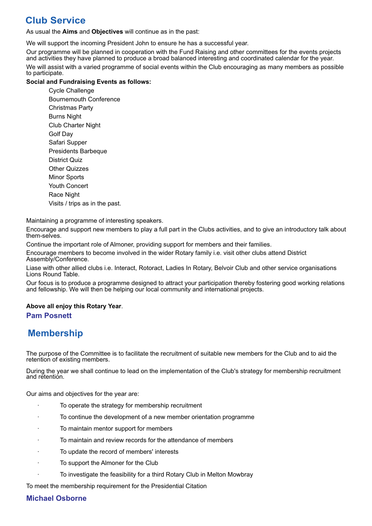## **Club Service**

As usual the **Aims** and **Objectives** will continue as in the past:

We will support the incoming President John to ensure he has a successful year.

Our programme will be planned in cooperation with the Fund Raising and other committees for the events projects and activities they have planned to produce a broad balanced interesting and coordinated calendar for the year. We will assist with a varied programme of social events within the Club encouraging as many members as possible to participate.

#### **Social and Fundraising Events as follows:**

Cycle Challenge Bournemouth Conference Christmas Party Burns Night Club Charter Night Golf Day Safari Supper Presidents Barbeque District Quiz Other Quizzes **Minor Sports** Youth Concert Race Night Visits / trips as in the past.

Maintaining a programme of interesting speakers.

Encourage and support new members to play a full part in the Clubs activities, and to give an introductory talk about them-selves.

Continue the important role of Almoner, providing support for members and their families.

Encourage members to become involved in the wider Rotary family i.e. visit other clubs attend District Assembly/Conference.

Liase with other allied clubs i.e. Interact, Rotoract, Ladies In Rotary, Belvoir Club and other service organisations Lions Round Table.

Our focus is to produce a programme designed to attract your participation thereby fostering good working relations and fellowship. We will then be helping our local community and international projects.

## **Above all enjoy this Rotary Year**.

#### **Pam Posnett**

## **Membership**

The purpose of the Committee is to facilitate the recruitment of suitable new members for the Club and to aid the retention of existing members.

During the year we shall continue to lead on the implementation of the Club's strategy for membership recruitment and retention.

Our aims and objectives for the year are:

- To operate the strategy for membership recruitment
- · To continue the development of a new member orientation programme
- To maintain mentor support for members
- To maintain and review records for the attendance of members
- To update the record of members' interests
- To support the Almoner for the Club
- To investigate the feasibility for a third Rotary Club in Melton Mowbray

To meet the membership requirement for the Presidential Citation

#### **Michael Osborne**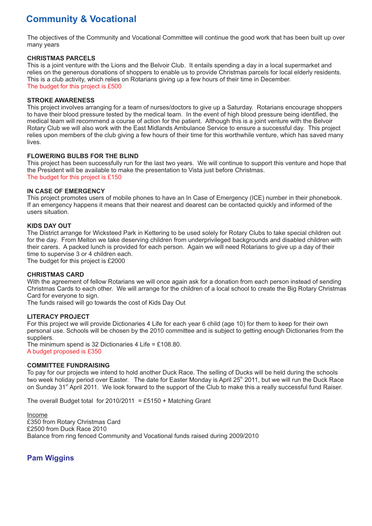## **Community & Vocational**

The objectives of the Community and Vocational Committee will continue the good work that has been built up over many years

#### **CHRISTMAS PARCELS**

This is a joint venture with the Lions and the Belvoir Club. It entails spending a day in a local supermarket and relies on the generous donations of shoppers to enable us to provide Christmas parcels for local elderly residents. This is a club activity, which relies on Rotarians giving up a few hours of their time in December. The budget for this project is £500

#### **STROKE AWARENESS**

This project involves arranging for a team of nurses/doctors to give up a Saturday. Rotarians encourage shoppers to have their blood pressure tested by the medical team. In the event of high blood pressure being identified, the medical team will recommend a course of action for the patient. Although this is a joint venture with the Belvoir Rotary Club we will also work with the East Midlands Ambulance Service to ensure a successful day. This project relies upon members of the club giving a few hours of their time for this worthwhile venture, which has saved many lives.

#### **FLOWERING BULBS FOR THE BLIND**

This project has been successfully run for the last two years. We will continue to support this venture and hope that the President will be available to make the presentation to Vista just before Christmas. The budget for this project is £150

#### **IN CASE OF EMERGENCY**

This project promotes users of mobile phones to have an In Case of Emergency (ICE) number in their phonebook. If an emergency happens it means that their nearest and dearest can be contacted quickly and informed of the users situation.

#### **KIDS DAY OUT**

The District arrange for Wicksteed Park in Kettering to be used solely for Rotary Clubs to take special children out for the day. From Melton we take deserving children from underprivileged backgrounds and disabled children with their carers. A packed lunch is provided for each person. Again we will need Rotarians to give up a day of their time to supervise 3 or 4 children each.

The budget for this project is £2000

#### **CHRISTMAS CARD**

With the agreement of fellow Rotarians we will once again ask for a donation from each person instead of sending Christmas Cards to each other. We will arrange for the children of a local school to create the Big Rotary Christmas Card for everyone to sign.

The funds raised will go towards the cost of Kids Day Out

#### **LITERACY PROJECT**

For this project we will provide Dictionaries 4 Life for each year 6 child (age 10) for them to keep for their own personal use. Schools will be chosen by the 2010 committee and is subject to getting enough Dictionaries from the suppliers.

The minimum spend is 32 Dictionaries 4 Life =  $£108.80$ . A budget proposed is £350

#### **COMMITTEE FUNDRAISING**

To pay for our projects we intend to hold another Duck Race. The selling of Ducks will be held during the schools two week holiday period over Easter. The date for Easter Monday is April 25<sup>th</sup> 2011, but we will run the Duck Race on Sunday 31<sup><sup>st</sup> April 2011. We look forward to the support of the Club to make this a really successful fund Raiser.</sup>

The overall Budget total for  $2010/2011 = £5150 + 100$  Grant

Income £350 from Rotary Christmas Card £2500 from Duck Race 2010 Balance from ring fenced Community and Vocational funds raised during 2009/2010

## **Pam Wiggins**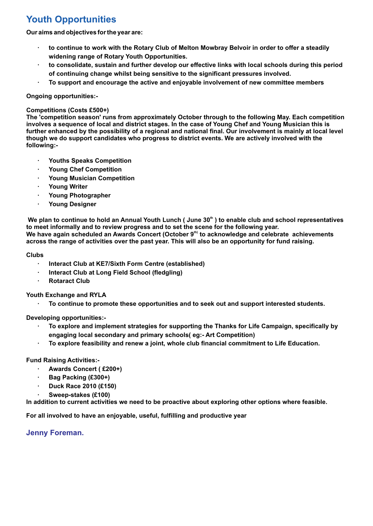# **Youth Opportunities**

**Our aims and objectives for the year are:**

- **· to continue to work with the Rotary Club of Melton Mowbray Belvoir in order to offer a steadily widening range of Rotary Youth Opportunities.**
- **· to consolidate, sustain and further develop our effective links with local schools during this period of continuing change whilst being sensitive to the significant pressures involved.**
- **· To support and encourage the active and enjoyable involvement of new committee members**

#### **Ongoing opportunities:-**

#### **Competitions (Costs £500+)**

**The 'competition season' runs from approximately October through to the following May. Each competition involves a sequence of local and district stages. In the case of Young Chef and Young Musician this is further enhanced by the possibility of a regional and national final. Our involvement is mainly at local level though we do support candidates who progress to district events. We are actively involved with the following:-**

- **· Youths Speaks Competition**
- **· Young Chef Competition**
- **· Young Musician Competition**
- **· Young Writer**
- **· Young Photographer**
- **· Young Designer**

We plan to continue to hold an Annual Youth Lunch ( June 30<sup>th</sup> ) to enable club and school representatives **to meet informally and to review progress and to set the scene for the following year.** We have again scheduled an Awards Concert (October 9<sup>th)</sup> to acknowledge and celebrate achievements **across the range of activities over the past year. This will also be an opportunity for fund raising.**

#### **Clubs**

- **· Interact Club at KE7/Sixth Form Centre (established)**
- **· Interact Club at Long Field School (fledgling)**
- **· Rotaract Club**

**Youth Exchange and RYLA**

**· To continue to promote these opportunities and to seek out and support interested students.**

**Developing opportunities:-**

- **· To explore and implement strategies for supporting the Thanks for Life Campaign, specifically by engaging local secondary and primary schools( eg:- Art Competition)**
- **· To explore feasibility and renew a joint, whole club financial commitment to Life Education.**

#### **Fund Raising Activities:-**

- **· Awards Concert ( £200+)**
- **· Bag Packing (£300+)**
- **· Duck Race 2010 (£150)**
- **· Sweep-stakes (£100)**

**In addition to current activities we need to be proactive about exploring other options where feasible.**

**For all involved to have an enjoyable, useful, fulfilling and productive year**

**Jenny Foreman.**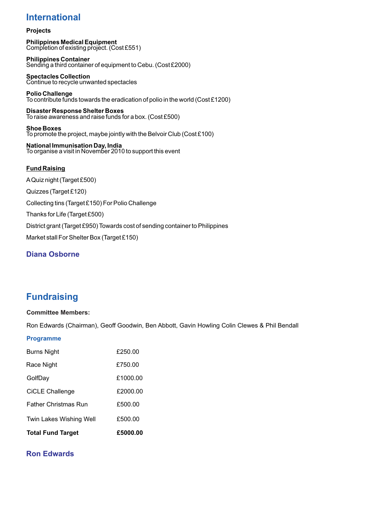## **International**

#### **Projects**

**Philippines Medical Equipment** Completion of existing project. (Cost £551)

**Philippines Container** Sending a third container of equipment to Cebu. (Cost £2000)

**Spectacles Collection** Continue to recycle unwanted spectacles

**Polio Challenge** To contribute funds towards the eradication of polio in the world (Cost £1200)

**Disaster Response Shelter Boxes** To raise awareness and raise funds for a box. (Cost £500)

**Shoe Boxes**  To promote the project, maybe jointly with the Belvoir Club (Cost £100)

**National Immunisation Day, India**  To organise a visit in November 2010 to support this event

#### **Fund Raising**

AQuiz night (Target £500) Quizzes (Target £120) Collecting tins (Target £150) For Polio Challenge Thanks for Life (Target £500) District grant (Target £950) Towards cost of sending container to Philippines Market stall For Shelter Box (Target £150)

## **Diana Osborne**

## **Fundraising**

#### **Committee Members:**

Ron Edwards (Chairman), Geoff Goodwin, Ben Abbott, Gavin Howling Colin Clewes & Phil Bendall

#### **Programme**

| <b>Total Fund Target</b>    | £5000.00 |
|-----------------------------|----------|
| Twin Lakes Wishing Well     | £500.00  |
| <b>Father Christmas Run</b> | £500.00  |
| CiCLE Challenge             | £2000.00 |
| GolfDay                     | £1000.00 |
| Race Night                  | £750.00  |
| Burns Night                 | £250.00  |

## **Ron Edwards**